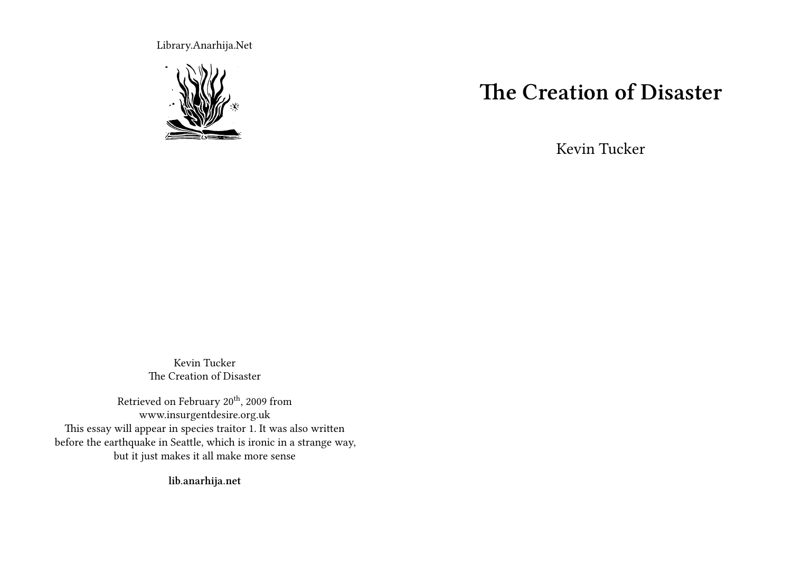Library.Anarhija.Net



# **The Creation of Disaster**

Kevin Tucker

Kevin Tucker The Creation of Disaster

Retrieved on February 20<sup>th</sup>, 2009 from www.insurgentdesire.org.uk This essay will appear in species traitor 1. It was also written before the earthquake in Seattle, which is ironic in a strange way, but it just makes it all make more sense

**lib.anarhija.net**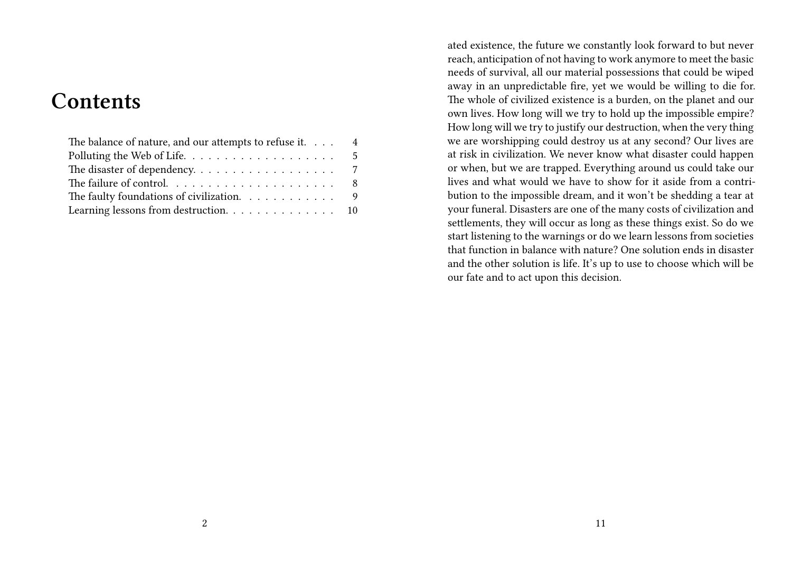# **Contents**

| The balance of nature, and our attempts to refuse it. 4 |  |
|---------------------------------------------------------|--|
|                                                         |  |
|                                                         |  |
|                                                         |  |
| The faulty foundations of civilization. 9               |  |
|                                                         |  |

ated existence, the future we constantly look forward to but never reach, anticipation of not having to work anymore to meet the basic needs of survival, all our material possessions that could be wiped away in an unpredictable fire, yet we would be willing to die for. The whole of civilized existence is a burden, on the planet and our own lives. How long will we try to hold up the impossible empire? How long will we try to justify our destruction, when the very thing we are worshipping could destroy us at any second? Our lives are at risk in civilization. We never know what disaster could happen or when, but we are trapped. Everything around us could take our lives and what would we have to show for it aside from a contribution to the impossible dream, and it won't be shedding a tear at your funeral. Disasters are one of the many costs of civilization and settlements, they will occur as long as these things exist. So do we start listening to the warnings or do we learn lessons from societies that function in balance with nature? One solution ends in disaster and the other solution is life. It's up to use to choose which will be our fate and to act upon this decision.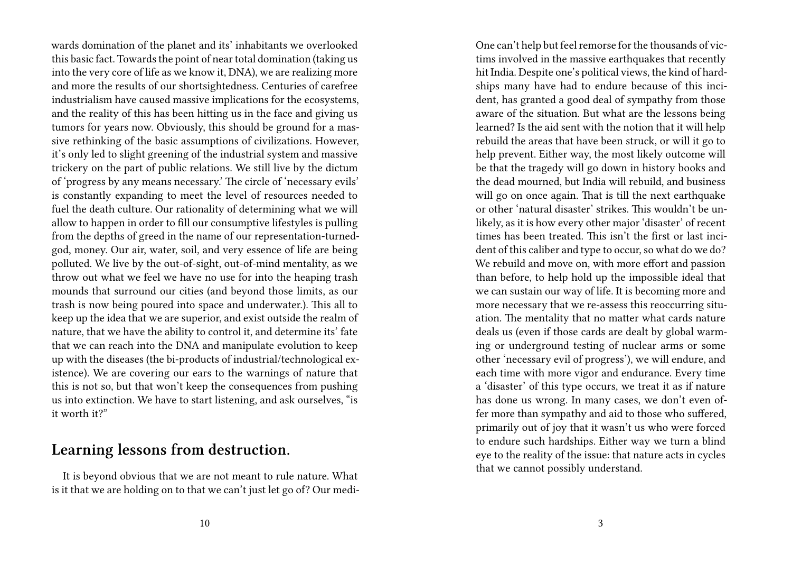wards domination of the planet and its' inhabitants we overlooked this basic fact. Towards the point of near total domination (taking us into the very core of life as we know it, DNA), we are realizing more and more the results of our shortsightedness. Centuries of carefree industrialism have caused massive implications for the ecosystems, and the reality of this has been hitting us in the face and giving us tumors for years now. Obviously, this should be ground for a massive rethinking of the basic assumptions of civilizations. However, it's only led to slight greening of the industrial system and massive trickery on the part of public relations. We still live by the dictum of 'progress by any means necessary.' The circle of 'necessary evils' is constantly expanding to meet the level of resources needed to fuel the death culture. Our rationality of determining what we will allow to happen in order to fill our consumptive lifestyles is pulling from the depths of greed in the name of our representation-turnedgod, money. Our air, water, soil, and very essence of life are being polluted. We live by the out-of-sight, out-of-mind mentality, as we throw out what we feel we have no use for into the heaping trash mounds that surround our cities (and beyond those limits, as our trash is now being poured into space and underwater.). This all to keep up the idea that we are superior, and exist outside the realm of nature, that we have the ability to control it, and determine its' fate that we can reach into the DNA and manipulate evolution to keep up with the diseases (the bi-products of industrial/technological existence). We are covering our ears to the warnings of nature that this is not so, but that won't keep the consequences from pushing us into extinction. We have to start listening, and ask ourselves, "is it worth it?"

#### **Learning lessons from destruction.**

It is beyond obvious that we are not meant to rule nature. What is it that we are holding on to that we can't just let go of? Our mediOne can't help but feel remorse for the thousands of victims involved in the massive earthquakes that recently hit India. Despite one's political views, the kind of hardships many have had to endure because of this incident, has granted a good deal of sympathy from those aware of the situation. But what are the lessons being learned? Is the aid sent with the notion that it will help rebuild the areas that have been struck, or will it go to help prevent. Either way, the most likely outcome will be that the tragedy will go down in history books and the dead mourned, but India will rebuild, and business will go on once again. That is till the next earthquake or other 'natural disaster' strikes. This wouldn't be unlikely, as it is how every other major 'disaster' of recent times has been treated. This isn't the first or last incident of this caliber and type to occur, so what do we do? We rebuild and move on, with more effort and passion than before, to help hold up the impossible ideal that we can sustain our way of life. It is becoming more and more necessary that we re-assess this reoccurring situation. The mentality that no matter what cards nature deals us (even if those cards are dealt by global warming or underground testing of nuclear arms or some other 'necessary evil of progress'), we will endure, and each time with more vigor and endurance. Every time a 'disaster' of this type occurs, we treat it as if nature has done us wrong. In many cases, we don't even offer more than sympathy and aid to those who suffered, primarily out of joy that it wasn't us who were forced to endure such hardships. Either way we turn a blind eye to the reality of the issue: that nature acts in cycles that we cannot possibly understand.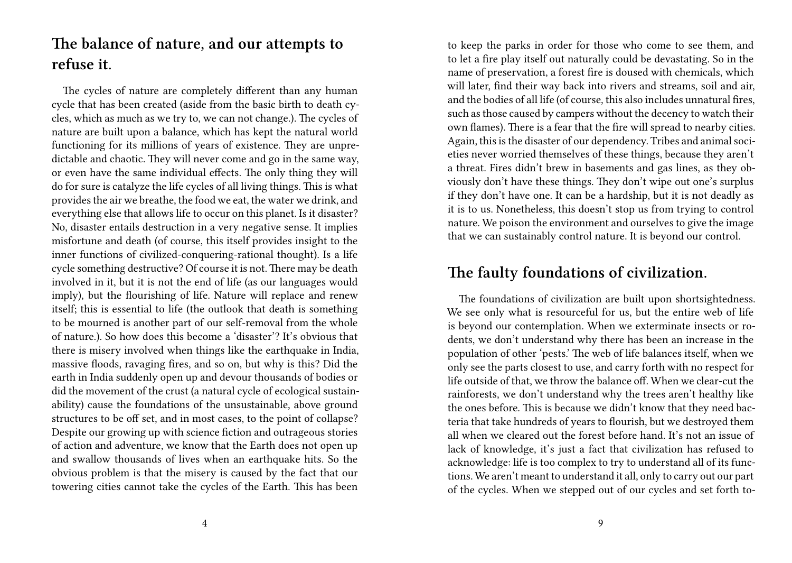## **The balance of nature, and our attempts to refuse it.**

The cycles of nature are completely different than any human cycle that has been created (aside from the basic birth to death cycles, which as much as we try to, we can not change.). The cycles of nature are built upon a balance, which has kept the natural world functioning for its millions of years of existence. They are unpredictable and chaotic. They will never come and go in the same way, or even have the same individual effects. The only thing they will do for sure is catalyze the life cycles of all living things. This is what provides the air we breathe, the food we eat, the water we drink, and everything else that allows life to occur on this planet. Is it disaster? No, disaster entails destruction in a very negative sense. It implies misfortune and death (of course, this itself provides insight to the inner functions of civilized-conquering-rational thought). Is a life cycle something destructive? Of course it is not. There may be death involved in it, but it is not the end of life (as our languages would imply), but the flourishing of life. Nature will replace and renew itself; this is essential to life (the outlook that death is something to be mourned is another part of our self-removal from the whole of nature.). So how does this become a 'disaster'? It's obvious that there is misery involved when things like the earthquake in India, massive floods, ravaging fires, and so on, but why is this? Did the earth in India suddenly open up and devour thousands of bodies or did the movement of the crust (a natural cycle of ecological sustainability) cause the foundations of the unsustainable, above ground structures to be off set, and in most cases, to the point of collapse? Despite our growing up with science fiction and outrageous stories of action and adventure, we know that the Earth does not open up and swallow thousands of lives when an earthquake hits. So the obvious problem is that the misery is caused by the fact that our towering cities cannot take the cycles of the Earth. This has been

to keep the parks in order for those who come to see them, and to let a fire play itself out naturally could be devastating. So in the name of preservation, a forest fire is doused with chemicals, which will later, find their way back into rivers and streams, soil and air, and the bodies of all life (of course, this also includes unnatural fires, such as those caused by campers without the decency to watch their own flames). There is a fear that the fire will spread to nearby cities. Again, this is the disaster of our dependency. Tribes and animal societies never worried themselves of these things, because they aren't a threat. Fires didn't brew in basements and gas lines, as they obviously don't have these things. They don't wipe out one's surplus if they don't have one. It can be a hardship, but it is not deadly as it is to us. Nonetheless, this doesn't stop us from trying to control nature. We poison the environment and ourselves to give the image that we can sustainably control nature. It is beyond our control.

#### **The faulty foundations of civilization.**

The foundations of civilization are built upon shortsightedness. We see only what is resourceful for us, but the entire web of life is beyond our contemplation. When we exterminate insects or rodents, we don't understand why there has been an increase in the population of other 'pests.' The web of life balances itself, when we only see the parts closest to use, and carry forth with no respect for life outside of that, we throw the balance off. When we clear-cut the rainforests, we don't understand why the trees aren't healthy like the ones before. This is because we didn't know that they need bacteria that take hundreds of years to flourish, but we destroyed them all when we cleared out the forest before hand. It's not an issue of lack of knowledge, it's just a fact that civilization has refused to acknowledge: life is too complex to try to understand all of its functions. We aren't meant to understand it all, only to carry out our part of the cycles. When we stepped out of our cycles and set forth to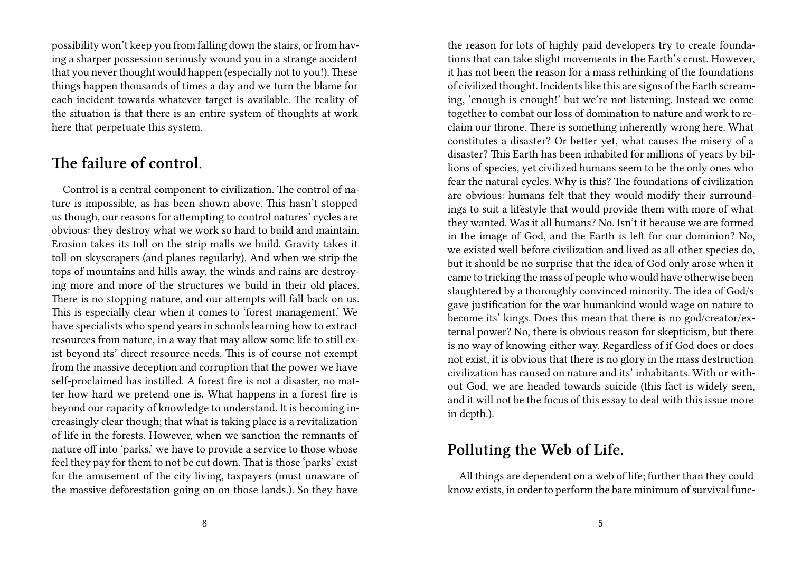possibility won't keep you from falling down the stairs, or from having a sharper possession seriously wound you in a strange accident that you never thought would happen (especially not to you!). These things happen thousands of times a day and we turn the blame for each incident towards whatever target is available. The reality of the situation is that there is an entire system of thoughts at work here that perpetuate this system.

#### **The failure of control.**

Control is a central component to civilization. The control of nature is impossible, as has been shown above. This hasn't stopped us though, our reasons for attempting to control natures' cycles are obvious: they destroy what we work so hard to build and maintain. Erosion takes its toll on the strip malls we build. Gravity takes it toll on skyscrapers (and planes regularly). And when we strip the tops of mountains and hills away, the winds and rains are destroying more and more of the structures we build in their old places. There is no stopping nature, and our attempts will fall back on us. This is especially clear when it comes to 'forest management.' We have specialists who spend years in schools learning how to extract resources from nature, in a way that may allow some life to still exist beyond its' direct resource needs. This is of course not exempt from the massive deception and corruption that the power we have self-proclaimed has instilled. A forest fire is not a disaster, no matter how hard we pretend one is. What happens in a forest fire is beyond our capacity of knowledge to understand. It is becoming increasingly clear though; that what is taking place is a revitalization of life in the forests. However, when we sanction the remnants of nature off into 'parks,' we have to provide a service to those whose feel they pay for them to not be cut down. That is those 'parks' exist for the amusement of the city living, taxpayers (must unaware of the massive deforestation going on on those lands.). So they have

the reason for lots of highly paid developers try to create foundations that can take slight movements in the Earth's crust. However, it has not been the reason for a mass rethinking of the foundations of civilized thought. Incidents like this are signs of the Earth screaming, 'enough is enough!' but we're not listening. Instead we come together to combat our loss of domination to nature and work to reclaim our throne. There is something inherently wrong here. What constitutes a disaster? Or better yet, what causes the misery of a disaster? This Earth has been inhabited for millions of years by billions of species, yet civilized humans seem to be the only ones who fear the natural cycles. Why is this? The foundations of civilization are obvious: humans felt that they would modify their surroundings to suit a lifestyle that would provide them with more of what they wanted. Was it all humans? No. Isn't it because we are formed in the image of God, and the Earth is left for our dominion? No, we existed well before civilization and lived as all other species do, but it should be no surprise that the idea of God only arose when it came to tricking the mass of people who would have otherwise been slaughtered by a thoroughly convinced minority. The idea of God/s gave justification for the war humankind would wage on nature to become its' kings. Does this mean that there is no god/creator/external power? No, there is obvious reason for skepticism, but there is no way of knowing either way. Regardless of if God does or does not exist, it is obvious that there is no glory in the mass destruction civilization has caused on nature and its' inhabitants. With or without God, we are headed towards suicide (this fact is widely seen, and it will not be the focus of this essay to deal with this issue more in depth.).

#### **Polluting the Web of Life.**

All things are dependent on a web of life; further than they could know exists, in order to perform the bare minimum of survival func